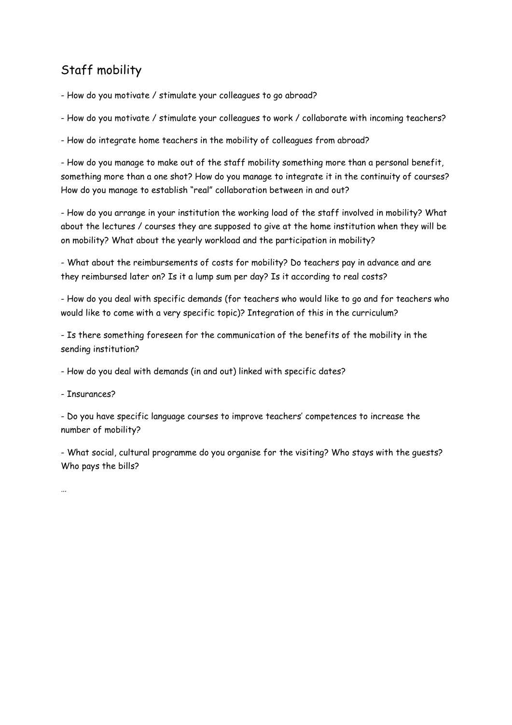## Staff mobility

- How do you motivate / stimulate your colleagues to go abroad?

- How do you motivate / stimulate your colleagues to work / collaborate with incoming teachers?

- How do integrate home teachers in the mobility of colleagues from abroad?

- How do you manage to make out of the staff mobility something more than a personal benefit, something more than a one shot? How do you manage to integrate it in the continuity of courses? How do you manage to establish "real" collaboration between in and out?

- How do you arrange in your institution the working load of the staff involved in mobility? What about the lectures / courses they are supposed to give at the home institution when they will be on mobility? What about the yearly workload and the participation in mobility?

- What about the reimbursements of costs for mobility? Do teachers pay in advance and are they reimbursed later on? Is it a lump sum per day? Is it according to real costs?

- How do you deal with specific demands (for teachers who would like to go and for teachers who would like to come with a very specific topic)? Integration of this in the curriculum?

- Is there something foreseen for the communication of the benefits of the mobility in the sending institution?

- How do you deal with demands (in and out) linked with specific dates?

- Insurances?

- Do you have specific language courses to improve teachers' competences to increase the number of mobility?

- What social, cultural programme do you organise for the visiting? Who stays with the guests? Who pays the bills?

…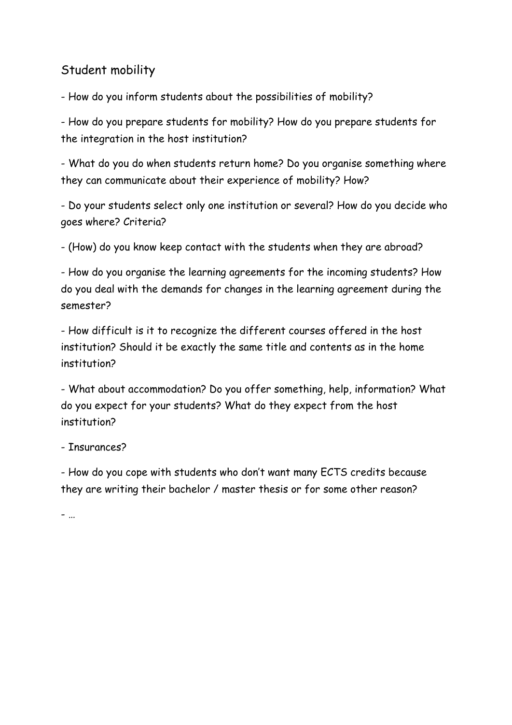## Student mobility

- How do you inform students about the possibilities of mobility?

- How do you prepare students for mobility? How do you prepare students for the integration in the host institution?

- What do you do when students return home? Do you organise something where they can communicate about their experience of mobility? How?

- Do your students select only one institution or several? How do you decide who goes where? Criteria?

- (How) do you know keep contact with the students when they are abroad?

- How do you organise the learning agreements for the incoming students? How do you deal with the demands for changes in the learning agreement during the semester?

- How difficult is it to recognize the different courses offered in the host institution? Should it be exactly the same title and contents as in the home institution?

- What about accommodation? Do you offer something, help, information? What do you expect for your students? What do they expect from the host institution?

## - Insurances?

- How do you cope with students who don't want many ECTS credits because they are writing their bachelor / master thesis or for some other reason?

- …